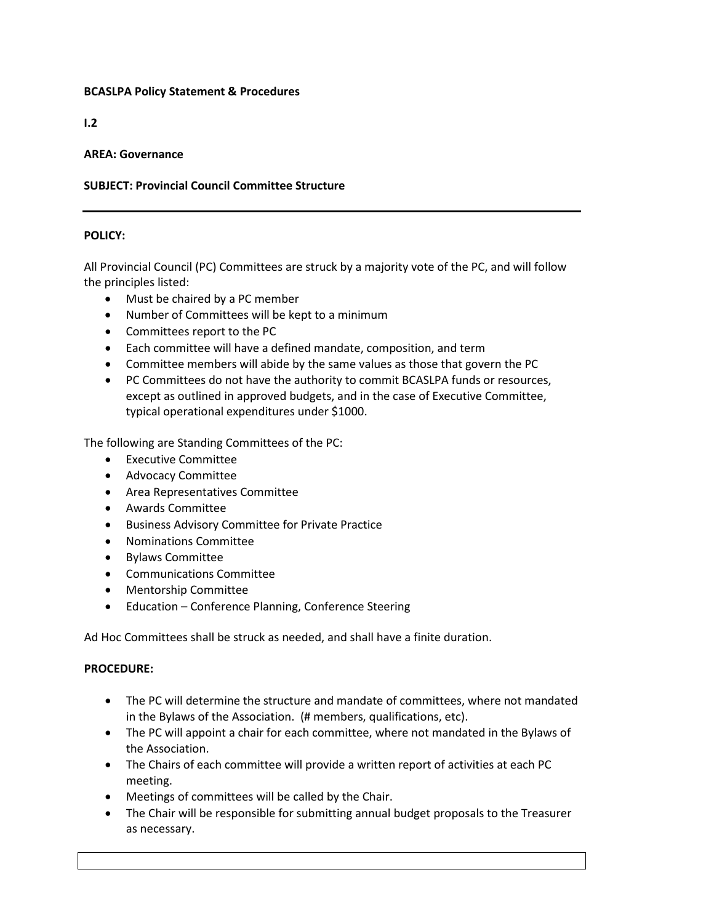## **BCASLPA Policy Statement & Procedures**

**I.2**

# **AREA: Governance**

# **SUBJECT: Provincial Council Committee Structure**

## **POLICY:**

All Provincial Council (PC) Committees are struck by a majority vote of the PC, and will follow the principles listed:

- Must be chaired by a PC member
- Number of Committees will be kept to a minimum
- Committees report to the PC
- Each committee will have a defined mandate, composition, and term
- Committee members will abide by the same values as those that govern the PC
- PC Committees do not have the authority to commit BCASLPA funds or resources, except as outlined in approved budgets, and in the case of Executive Committee, typical operational expenditures under \$1000.

The following are Standing Committees of the PC:

- Executive Committee
- Advocacy Committee
- Area Representatives Committee
- Awards Committee
- Business Advisory Committee for Private Practice
- Nominations Committee
- Bylaws Committee
- Communications Committee
- Mentorship Committee
- Education Conference Planning, Conference Steering

Ad Hoc Committees shall be struck as needed, and shall have a finite duration.

## **PROCEDURE:**

- The PC will determine the structure and mandate of committees, where not mandated in the Bylaws of the Association. (# members, qualifications, etc).
- The PC will appoint a chair for each committee, where not mandated in the Bylaws of the Association.
- The Chairs of each committee will provide a written report of activities at each PC meeting.
- Meetings of committees will be called by the Chair.
- The Chair will be responsible for submitting annual budget proposals to the Treasurer as necessary.